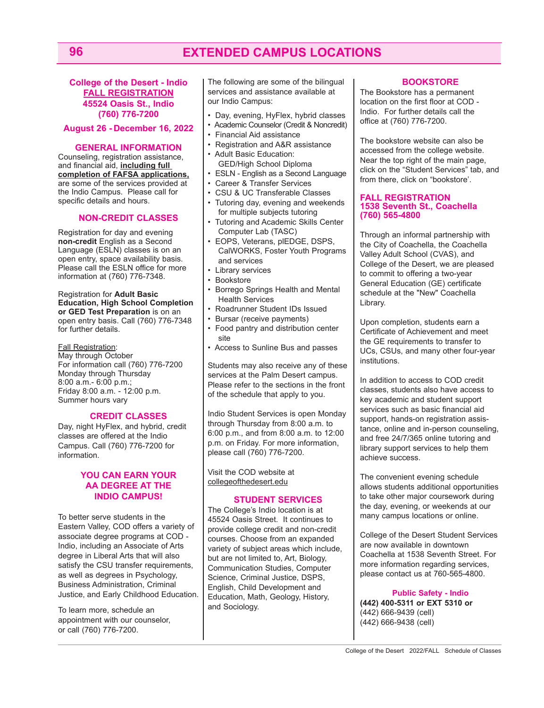# **96 EXTENDED CAMPUS LOCATIONS**

**College of the Desert - Indio FALL REGISTRATION 45524 Oasis St., Indio (760) 776-7200** 

#### **August 26 - December 16, 2022**

#### **GENERAL INFORMATION**

Counseling, registration assistance, and financial aid, **including full completion of FAFSA applications,** are some of the services provided at the Indio Campus. Please call for specific details and hours.

### **NON-CREDIT CLASSES**

Registration for day and evening **non-credit** English as a Second Language (ESLN) classes is on an open entry, space availability basis. Please call the ESLN office for more information at (760) 776-7348.

Registration for **Adult Basic Education, High School Completion or GED Test Preparation** is on an open entry basis. Call (760) 776-7348 for further details.

#### Fall Registration:

May through October For information call (760) 776-7200 Monday through Thursday 8:00 a.m.- 6:00 p.m.; Friday 8:00 a.m. - 12:00 p.m. Summer hours vary

#### **CREDIT CLASSES**

Day, night HyFlex, and hybrid, credit classes are offered at the Indio Campus. Call (760) 776-7200 for information.

#### **YOU CAN EARN YOUR AA DEGREE AT THE INDIO CAMPUS!**

To better serve students in the Eastern Valley, COD offers a variety of associate degree programs at COD - Indio, including an Associate of Arts degree in Liberal Arts that will also satisfy the CSU transfer requirements, as well as degrees in Psychology, Business Administration, Criminal Justice, and Early Childhood Education.

To learn more, schedule an appointment with our counselor, or call (760) 776-7200.

The following are some of the bilingual services and assistance available at our Indio Campus:

- Day, evening, HyFlex, hybrid classes
- Academic Counselor (Credit & Noncredit)
- Financial Aid assistance
- Registration and A&R assistance
- Adult Basic Education: GED/High School Diploma
- ESLN English as a Second Language • Career & Transfer Services
- CSU & UC Transferable Classes
- Tutoring day, evening and weekends for multiple subjects tutoring
- Tutoring and Academic Skills Center Computer Lab (TASC)
- EOPS, Veterans, plEDGE, DSPS, CalWORKS, Foster Youth Programs and services
- Library services
- Bookstore
- Borrego Springs Health and Mental Health Services
- Roadrunner Student IDs Issued
- Bursar (receive payments)
- Food pantry and distribution center site
- Access to Sunline Bus and passes

Students may also receive any of these services at the Palm Desert campus. Please refer to the sections in the front of the schedule that apply to you.

Indio Student Services is open Monday through Thursday from 8:00 a.m. to 6:00 p.m., and from 8:00 a.m. to 12:00 p.m. on Friday. For more information, please call (760) 776-7200.

Visit the COD website at collegeofthedesert.edu

### **STUDENT SERVICES**

The College's Indio location is at 45524 Oasis Street. It continues to provide college credit and non-credit courses. Choose from an expanded variety of subject areas which include, but are not limited to, Art, Biology, Communication Studies, Computer Science, Criminal Justice, DSPS, English, Child Development and Education, Math, Geology, History, and Sociology.

# **BOOKSTORE**

The Bookstore has a permanent location on the first floor at COD - Indio. For further details call the office at (760) 776-7200.

The bookstore website can also be accessed from the college website. Near the top right of the main page, click on the "Student Services" tab, and from there, click on "bookstore'.

#### **FALL REGISTRATION 1538 Seventh St., Coachella (760) 565-4800**

Through an informal partnership with the City of Coachella, the Coachella Valley Adult School (CVAS), and College of the Desert, we are pleased to commit to offering a two-year General Education (GE) certificate schedule at the "New" Coachella Library.

Upon completion, students earn a Certificate of Achievement and meet the GE requirements to transfer to UCs, CSUs, and many other four-year institutions.

In addition to access to COD credit classes, students also have access to key academic and student support services such as basic financial aid support, hands-on registration assistance, online and in-person counseling, and free 24/7/365 online tutoring and library support services to help them achieve success.

The convenient evening schedule allows students additional opportunities to take other major coursework during the day, evening, or weekends at our many campus locations or online.

College of the Desert Student Services are now available in downtown Coachella at 1538 Seventh Street. For more information regarding services, please contact us at 760-565-4800.

**Public Safety - Indio (442) 400-5311 or EXT 5310 or**  (442) 666-9439 (cell) (442) 666-9438 (cell)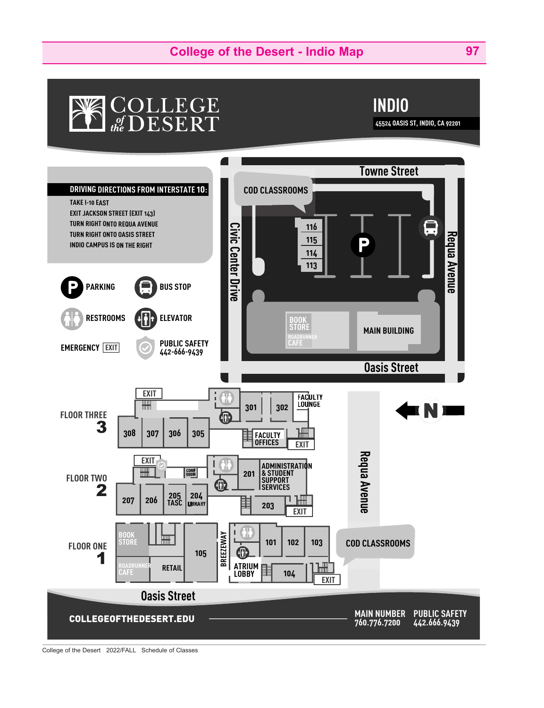# **College of the Desert - Indio Map 97**

# COLLEGE<br>the DESERT



**45524 O OASIS ST, INDIO, CA 92201** 

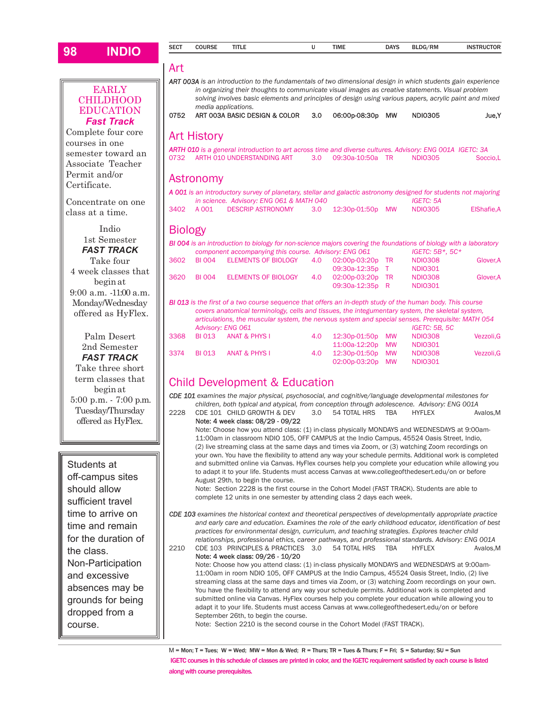| 98 | <b>INDIO</b>                          | <b>SECT</b>    | <b>COURSE</b>      | TITLE                                                                                                                                                                                                        | υ                | TIME                                | <b>DAYS</b> | <b>BLDG/RM</b>                     | <b>INSTRUCTOR</b> |
|----|---------------------------------------|----------------|--------------------|--------------------------------------------------------------------------------------------------------------------------------------------------------------------------------------------------------------|------------------|-------------------------------------|-------------|------------------------------------|-------------------|
|    |                                       | Art            |                    |                                                                                                                                                                                                              |                  |                                     |             |                                    |                   |
|    |                                       |                |                    | ART 003A is an introduction to the fundamentals of two dimensional design in which students gain experience                                                                                                  |                  |                                     |             |                                    |                   |
|    | <b>EARLY</b><br><b>CHILDHOOD</b>      |                |                    | in organizing their thoughts to communicate visual images as creative statements. Visual problem<br>solving involves basic elements and principles of design using various papers, acrylic paint and mixed   |                  |                                     |             |                                    |                   |
|    | <b>EDUCATION</b><br><b>Fast Track</b> | 0752           |                    | media applications.<br>ART 003A BASIC DESIGN & COLOR                                                                                                                                                         | 3.0              | 06:00p-08:30p                       | <b>MW</b>   | <b>NDI0305</b>                     | Jue, Y            |
|    | Complete four core<br>courses in one  |                | <b>Art History</b> |                                                                                                                                                                                                              |                  |                                     |             |                                    |                   |
|    | semester toward an                    |                |                    | ARTH 010 is a general introduction to art across time and diverse cultures. Advisory: ENG 001A IGETC: 3A                                                                                                     |                  |                                     |             |                                    |                   |
|    | Associate Teacher                     | 0732           |                    | ARTH 010 UNDERSTANDING ART                                                                                                                                                                                   | 3.0 <sub>2</sub> | 09:30a-10:50a TR                    |             | <b>NDI0305</b>                     | Soccio,L          |
|    | Permit and/or<br>Certificate.         |                | Astronomy          |                                                                                                                                                                                                              |                  |                                     |             |                                    |                   |
|    |                                       |                |                    | A 001 is an introductory survey of planetary, stellar and galactic astronomy designed for students not majoring                                                                                              |                  |                                     |             |                                    |                   |
|    | Concentrate on one                    | 3402           | A 001              | in science. Advisory: ENG 061 & MATH 040<br><b>DESCRIP ASTRONOMY</b>                                                                                                                                         | 3.0 <sub>2</sub> | 12:30p-01:50p                       | MW          | <b>IGETC: 5A</b><br><b>NDI0305</b> | ElShafie, A       |
|    | class at a time.                      |                |                    |                                                                                                                                                                                                              |                  |                                     |             |                                    |                   |
|    | Indio                                 | <b>Biology</b> |                    |                                                                                                                                                                                                              |                  |                                     |             |                                    |                   |
|    | 1st Semester                          |                |                    | BI 004 is an introduction to biology for non-science majors covering the foundations of biology with a laboratory                                                                                            |                  |                                     |             |                                    |                   |
|    | <b>FAST TRACK</b>                     |                |                    | component accompanying this course. Advisory: ENG 061                                                                                                                                                        |                  |                                     |             | IGETC: 5B*, 5C*                    |                   |
|    | Take four                             | 3602           | <b>BI 004</b>      | <b>ELEMENTS OF BIOLOGY</b>                                                                                                                                                                                   | 4.0              | 02:00p-03:20p TR                    |             | <b>NDI0308</b>                     | Glover, A         |
|    | 4 week classes that                   |                |                    |                                                                                                                                                                                                              |                  | 09:30a-12:35p T                     |             | <b>NDI0301</b>                     |                   |
|    | begin at                              | 3620           | <b>BI 004</b>      | <b>ELEMENTS OF BIOLOGY</b>                                                                                                                                                                                   | 4.0              | 02:00p-03:20p TR<br>09:30a-12:35p R |             | <b>NDI0308</b><br><b>NDI0301</b>   | Glover, A         |
|    | 9:00 a.m. -11:00 a.m.                 |                |                    |                                                                                                                                                                                                              |                  |                                     |             |                                    |                   |
|    | Monday/Wednesday                      |                |                    | <b>BI 013</b> is the first of a two course sequence that offers an in-depth study of the human body. This course                                                                                             |                  |                                     |             |                                    |                   |
|    | offered as HyFlex.                    |                |                    | covers anatomical terminology, cells and tissues, the integumentary system, the skeletal system,                                                                                                             |                  |                                     |             |                                    |                   |
|    |                                       |                |                    | articulations, the muscular system, the nervous system and special senses. Prerequisite: MATH 054<br>Advisory: ENG 061                                                                                       |                  |                                     |             | IGETC: 5B, 5C                      |                   |
|    | Palm Desert                           | 3368           | <b>BI 013</b>      | <b>ANAT &amp; PHYS I</b>                                                                                                                                                                                     | 4.0              | 12:30p-01:50p                       | MW          | <b>NDI0308</b>                     | Vezzoli, G        |
|    | 2nd Semester                          |                |                    |                                                                                                                                                                                                              |                  | 11:00a-12:20p                       | <b>MW</b>   | <b>NDI0301</b>                     |                   |
|    | <b>FAST TRACK</b>                     | 3374           | <b>BI 013</b>      | <b>ANAT &amp; PHYS I</b>                                                                                                                                                                                     | 4.0              | 12:30p-01:50p                       | MW          | <b>NDI0308</b>                     | Vezzoli.G         |
|    | Take three short                      |                |                    |                                                                                                                                                                                                              |                  | 02:00p-03:20p                       | MW          | <b>NDI0301</b>                     |                   |
|    | term classes that                     |                |                    |                                                                                                                                                                                                              |                  |                                     |             |                                    |                   |
|    | beginat                               |                |                    | <b>Child Development &amp; Education</b>                                                                                                                                                                     |                  |                                     |             |                                    |                   |
|    | 5:00 p.m. - 7:00 p.m.                 |                |                    | CDE 101 examines the major physical, psychosocial, and cognitive/language developmental milestones for                                                                                                       |                  |                                     |             |                                    |                   |
|    | Tuesday/Thursday                      | 2228           |                    | children, both typical and atypical, from conception through adolescence. Advisory: ENG 001A<br>CDE 101 CHILD GROWTH & DEV                                                                                   | 3.0              | 54 TOTAL HRS                        | <b>TBA</b>  | <b>HYFLEX</b>                      | Avalos.M          |
|    | offered as HyFlex.                    |                |                    | Note: 4 week class: 08/29 - 09/22                                                                                                                                                                            |                  |                                     |             |                                    |                   |
|    |                                       |                |                    | Note: Choose how you attend class: (1) in-class physically MONDAYS and WEDNESDAYS at 9:00am-                                                                                                                 |                  |                                     |             |                                    |                   |
|    |                                       |                |                    | 11:00am in classroom NDIO 105, OFF CAMPUS at the Indio Campus, 45524 Oasis Street, Indio,                                                                                                                    |                  |                                     |             |                                    |                   |
|    |                                       |                |                    | (2) live streaming class at the same days and times via Zoom, or (3) watching Zoom recordings on<br>your own. You have the flexibility to attend any way your schedule permits. Additional work is completed |                  |                                     |             |                                    |                   |
|    | Students at                           |                |                    | and submitted online via Canvas. HyFlex courses help you complete your education while allowing you                                                                                                          |                  |                                     |             |                                    |                   |
|    |                                       |                |                    | to adapt it to your life. Students must access Canyas at www.collegeofthedesert.edu/on or before                                                                                                             |                  |                                     |             |                                    |                   |

Students at off-campus sites should allow sufficient travel time to arrive on time and remain for the duration of the class. Non-Participation and excessive absences may be grounds for being dropped from a course.

#### August 29th, to begin the course. Note: Section 2228 is the first course in the Cohort Model (FAST TRACK). Students are able to complete 12 units in one semester by attending class 2 days each week.

*CDE 103 examines the historical context and theoretical perspectives of developmentally appropriate practice and early care and education. Examines the role of the early childhood educator, identification of best practices for environmental design, curriculum, and teaching strategies. Explores teacher child relationships, professional ethics, career pathways, and professional standards. Advisory: ENG 001A* 2210 CDE 103 PRINCIPLES & PRACTICES 3.0 54 TOTAL HRS TBA HYFLEX Avalos,M

Note: 4 week class: 09/26 - 10/20 Note: Choose how you attend class: (1) in-class physically MONDAYS and WEDNESDAYS at 9:00am-11:00am in room NDIO 105, OFF CAMPUS at the Indio Campus, 45524 Oasis Street, Indio, (2) live streaming class at the same days and times via Zoom, or (3) watching Zoom recordings on your own. You have the flexibility to attend any way your schedule permits. Additional work is completed and submitted online via Canvas. HyFlex courses help you complete your education while allowing you to adapt it to your life. Students must access Canvas at www.collegeofthedesert.edu/on or before September 26th, to begin the course.

Note: Section 2210 is the second course in the Cohort Model (FAST TRACK).

M = Mon; T = Tues; W = Wed; MW = Mon & Wed; R = Thurs; TR = Tues & Thurs; F = Fri; S = Saturday; SU = Sun IGETC courses in this schedule of classes are printed in color, and the IGETC requirement satisfied by each course is listed along with course prerequisites.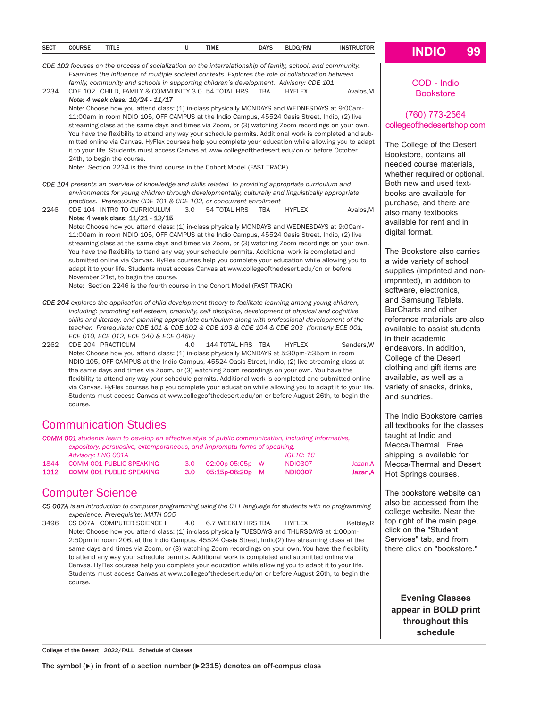| <b>SECT</b><br>___ | COUDCE<br>บบบหว<br>. | <b>TITLE</b> |  | <b>TIME</b> | <b>DAYS</b> | BLDG/RM | INS<br>. |  |
|--------------------|----------------------|--------------|--|-------------|-------------|---------|----------|--|
|                    |                      |              |  |             |             |         |          |  |

*CDE 102 focuses on the process of socialization on the interrelationship of family, school, and community. Examines the influence of multiple societal contexts. Explores the role of collaboration between*  family, community and schools in supporting children's development. Advisory: CDE 101 2234 CDE 102 CHILD, FAMILY & COMMUNITY 3.0 54 TOTAL HRS TBA HYFLEX Avalos, M

*Note: 4 week class: 10/24 - 11/17* Note: Choose how you attend class: (1) in-class physically MONDAYS and WEDNESDAYS at 9:00am-11:00am in room NDIO 105, OFF CAMPUS at the Indio Campus, 45524 Oasis Street, Indio, (2) live streaming class at the same days and times via Zoom, or (3) watching Zoom recordings on your own. You have the flexibility to attend any way your schedule permits. Additional work is completed and submitted online via Canvas. HyFlex courses help you complete your education while allowing you to adapt it to your life. Students must access Canvas at www.collegeofthedesert.edu/on or before October 24th, to begin the course.

Note: Section 2234 is the third course in the Cohort Model (FAST TRACK)

*CDE 104 presents an overview of knowledge and skills related to providing appropriate curriculum and environments for young children through developmentally, culturally and linguistically appropriate practices. Prerequisite: CDE 101 & CDE 102, or concurrent enrollment*

2246 CDE 104 INTRO TO CURRICULUM 3.0 54 TOTAL HRS TBA HYFLEX Avalos,M Note: 4 week class: 11/21 - 12/15 Note: Choose how you attend class: (1) in-class physically MONDAYS and WEDNESDAYS at 9:00am-11:00am in room NDIO 105, OFF CAMPUS at the Indio Campus, 45524 Oasis Street, Indio, (2) live streaming class at the same days and times via Zoom, or (3) watching Zoom recordings on your own. You have the flexibility to ttend any way your schedule permits. Additional work is completed and submitted online via Canvas. HyFlex courses help you complete your education while allowing you to adapt it to your life. Students must access Canvas at www.collegeofthedesert.edu/on or before

November 21st, to begin the course. Note: Section 2246 is the fourth course in the Cohort Model (FAST TRACK).

- *CDE 204 explores the application of child development theory to facilitate learning among young children, including: promoting self esteem, creativity, self discipline, development of physical and cognitive skills and literacy, and planning appropriate curriculum along with professional development of the teacher. Prerequisite: CDE 101 & CDE 102 & CDE 103 & CDE 104 & CDE 203 (formerly ECE 001, ECE 010, ECE 012, ECE 040 & ECE 046B)*
- 2262 CDE 204 PRACTICUM 4.0 144 TOTAL HRS TBA HYFLEX Sanders,W Note: Choose how you attend class: (1) in-class physically MONDAYS at 5:30pm-7:35pm in room NDIO 105, OFF CAMPUS at the Indio Campus, 45524 Oasis Street, Indio, (2) live streaming class at the same days and times via Zoom, or (3) watching Zoom recordings on your own. You have the flexibility to attend any way your schedule permits. Additional work is completed and submitted online via Canvas. HyFlex courses help you complete your education while allowing you to adapt it to your life. Students must access Canvas at www.collegeofthedesert.edu/on or before August 26th, to begin the course.

# Communication Studies

*COMM 001 students learn to develop an effective style of public communication, including informative, expository, persuasive, extemporaneous, and impromptu forms of speaking. Advisory: ENG 001A IGETC: 1C*  1844 COMM 001 PUBLIC SPEAKING 3.0 02:00p-05:05p W NDIO307 Jazan,A

1312 COMM 001 PUBLIC SPEAKING 3.0 05:15p-08:20p M NDIO307 Jazan,A

# Computer Science

*CS 007A is an introduction to computer programming using the C++ language for students with no programming experience. Prerequisite: MATH 005* 

3496 CS 007A COMPUTER SCIENCE 1 4.0 6.7 WEEKLY HRS TBA HYFLEX Kelbley, R Note: Choose how you attend class: (1) in-class physically TUESDAYS and THURSDAYS at 1:00pm-2:50pm in room 206, at the Indio Campus, 45524 Oasis Street, Indio(2) live streaming class at the same days and times via Zoom, or (3) watching Zoom recordings on your own. You have the flexibility to attend any way your schedule permits. Additional work is completed and submitted online via Canvas. HyFlex courses help you complete your education while allowing you to adapt it to your life. Students must access Canvas at www.collegeofthedesert.edu/on or before August 26th, to begin the course.

COD - Indio **Bookstore** 

## (760) 773-2564 collegeofthedesertshop.com

The College of the Desert Bookstore, contains all needed course materials, whether required or optional. Both new and used textbooks are available for purchase, and there are also many textbooks available for rent and in digital format.

The Bookstore also carries a wide variety of school supplies (imprinted and nonimprinted), in addition to software, electronics, and Samsung Tablets. BarCharts and other reference materials are also available to assist students in their academic endeavors. In addition, College of the Desert clothing and gift items are available, as well as a variety of snacks, drinks, and sundries.

The Indio Bookstore carries all textbooks for the classes taught at Indio and Mecca/Thermal. Free shipping is available for Mecca/Thermal and Desert Hot Springs courses.

The bookstore website can also be accessed from the college website. Near the top right of the main page, click on the "Student Services" tab, and from there click on "bookstore."

**Evening Classes appear in BOLD print throughout this schedule** 

College of the Desert 2022/FALL Schedule of Classes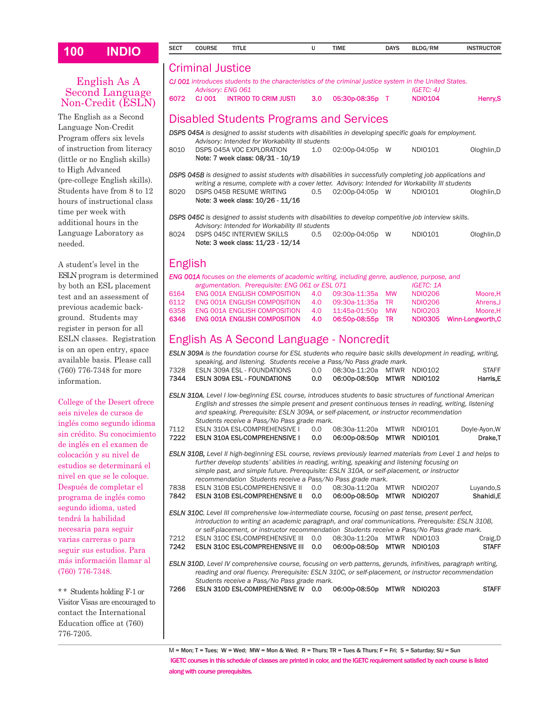# English As A Second Language Non-Credit (ESLN)

The English as a Second Language Non-Credit Program offers six levels of instruction from literacy (little or no English skills) to High Advanced (pre-college English skills). Students have from 8 to 12 hours of instructional class time per week with additional hours in the Language Laboratory as needed.

A student's level in the ESLN program is determined by both an ESL placement test and an assessment of previous academic background. Students may register in person for all ESLN classes. Registration is on an open entry, space available basis. Please call (760) 776-7348 for more information.

College of the Desert ofrec seis niveles de cursos de inglés como segundo idion sin crédito. Su conocimien de inglés en el examen de colocación y su nivel de estudios se determinará el nivel en que se le coloque. Después de completar el programa de inglés como segundo idioma, usted tendrá la habilidad necesaria para seguir varias carreras o para seguir sus estudios. Para más información llamar a (760) 776-7348.

\* \* Students holding F-1 or Visitor Visas are encouraged contact the International Education office at (760) 776-7205.

| 100                  | <b>INDIO</b>                                                                                                                                      | <b>SECT</b>                                                                                                                                                                                                         | <b>COURSE</b>                            | <b>TITLE</b>                                                                                                                                                                                    |  | U          | <b>TIME</b>                    | <b>DAYS</b>     | BLDG/RM                   | <b>INSTRUCTOR</b>             |  |  |  |
|----------------------|---------------------------------------------------------------------------------------------------------------------------------------------------|---------------------------------------------------------------------------------------------------------------------------------------------------------------------------------------------------------------------|------------------------------------------|-------------------------------------------------------------------------------------------------------------------------------------------------------------------------------------------------|--|------------|--------------------------------|-----------------|---------------------------|-------------------------------|--|--|--|
|                      |                                                                                                                                                   |                                                                                                                                                                                                                     | <b>Criminal Justice</b>                  |                                                                                                                                                                                                 |  |            |                                |                 |                           |                               |  |  |  |
|                      | English As A                                                                                                                                      |                                                                                                                                                                                                                     |                                          | CJ 001 introduces students to the characteristics of the criminal justice system in the United States.                                                                                          |  |            |                                |                 |                           |                               |  |  |  |
|                      | <b>Second Language</b>                                                                                                                            |                                                                                                                                                                                                                     | Advisory: ENG 061                        |                                                                                                                                                                                                 |  |            |                                |                 | <b>IGETC: 4J</b>          |                               |  |  |  |
|                      | Non-Credit (ESLN)                                                                                                                                 | 6072                                                                                                                                                                                                                | CJ 001                                   | <b>INTROD TO CRIM JUSTI</b>                                                                                                                                                                     |  | 3.0        | 05:30p-08:35p T                |                 | <b>NDIO104</b>            | Henry, S                      |  |  |  |
|                      | he English as a Second                                                                                                                            |                                                                                                                                                                                                                     |                                          | Disabled Students Programs and Services                                                                                                                                                         |  |            |                                |                 |                           |                               |  |  |  |
|                      | anguage Non-Credit                                                                                                                                |                                                                                                                                                                                                                     |                                          | DSPS 045A is designed to assist students with disabilities in developing specific goals for employment.                                                                                         |  |            |                                |                 |                           |                               |  |  |  |
|                      | rogram offers six levels                                                                                                                          |                                                                                                                                                                                                                     |                                          | Advisory: Intended for Workability III students                                                                                                                                                 |  |            |                                |                 |                           |                               |  |  |  |
|                      | instruction from literacy                                                                                                                         | 8010                                                                                                                                                                                                                |                                          | DSPS 045A VOC EXPLORATION                                                                                                                                                                       |  | 1.0        | 02:00p-04:05p W                |                 | NDI0101                   | Ologhlin, D                   |  |  |  |
|                      | ittle or no English skills)                                                                                                                       |                                                                                                                                                                                                                     |                                          | Note: 7 week class: 08/31 - 10/19                                                                                                                                                               |  |            |                                |                 |                           |                               |  |  |  |
| <b>High Advanced</b> |                                                                                                                                                   |                                                                                                                                                                                                                     |                                          | <b>DSPS 045B</b> is designed to assist students with disabilities in successfully completing job applications and                                                                               |  |            |                                |                 |                           |                               |  |  |  |
|                      | ore-college English skills).                                                                                                                      |                                                                                                                                                                                                                     |                                          | writing a resume, complete with a cover letter. Advisory: Intended for Workability III students                                                                                                 |  |            |                                |                 |                           |                               |  |  |  |
|                      | tudents have from 8 to 12                                                                                                                         | 8020                                                                                                                                                                                                                |                                          | DSPS 045B RESUME WRITING<br>Note: 3 week class: 10/26 - 11/16                                                                                                                                   |  | 0.5        | 02:00p-04:05p W                |                 | NDI0101                   | Ologhlin, D                   |  |  |  |
|                      | ours of instructional class                                                                                                                       |                                                                                                                                                                                                                     |                                          |                                                                                                                                                                                                 |  |            |                                |                 |                           |                               |  |  |  |
| me per week with     |                                                                                                                                                   |                                                                                                                                                                                                                     |                                          | <b>DSPS 045C</b> is designed to assist students with disabilities to develop competitive job interview skills.                                                                                  |  |            |                                |                 |                           |                               |  |  |  |
|                      | dditional hours in the                                                                                                                            |                                                                                                                                                                                                                     |                                          | Advisory: Intended for Workability III students                                                                                                                                                 |  |            |                                |                 |                           |                               |  |  |  |
|                      | anguage Laboratory as                                                                                                                             | 8024                                                                                                                                                                                                                |                                          | <b>DSPS 045C INTERVIEW SKILLS</b><br>Note: 3 week class: 11/23 - 12/14                                                                                                                          |  | 0.5        | 02:00p-04:05p W                |                 | NDI0101                   | Ologhlin, D                   |  |  |  |
| eeded.               |                                                                                                                                                   |                                                                                                                                                                                                                     |                                          |                                                                                                                                                                                                 |  |            |                                |                 |                           |                               |  |  |  |
|                      | student's level in the                                                                                                                            | <b>English</b>                                                                                                                                                                                                      |                                          |                                                                                                                                                                                                 |  |            |                                |                 |                           |                               |  |  |  |
|                      | SLN program is determined                                                                                                                         |                                                                                                                                                                                                                     |                                          | ENG 001A focuses on the elements of academic writing, including genre, audience, purpose, and                                                                                                   |  |            |                                |                 |                           |                               |  |  |  |
|                      | y both an ESL placement                                                                                                                           |                                                                                                                                                                                                                     |                                          | argumentation. Prerequisite: ENG 061 or ESL 071                                                                                                                                                 |  |            |                                |                 | <b>IGETC: 1A</b>          |                               |  |  |  |
|                      | est and an assessment of                                                                                                                          | 6164                                                                                                                                                                                                                |                                          | <b>ENG 001A ENGLISH COMPOSITION</b>                                                                                                                                                             |  | 4.0        | 09:30a-11:35a                  | MW              | <b>NDI0206</b>            | Moore, H                      |  |  |  |
|                      | revious academic back-                                                                                                                            | 6112<br>6358                                                                                                                                                                                                        |                                          | <b>ENG 001A ENGLISH COMPOSITION</b><br>ENG 001A ENGLISH COMPOSITION                                                                                                                             |  | 4.0        | 09:30a-11:35a<br>11:45a-01:50p | TR<br><b>MW</b> | <b>NDI0206</b>            | Ahrens, J                     |  |  |  |
|                      | round. Students may                                                                                                                               | 6346                                                                                                                                                                                                                |                                          | <b>ENG OO1A ENGLISH COMPOSITION</b>                                                                                                                                                             |  | 4.0<br>4.0 | 06:50p-08:55p                  | TR              | NDI0203<br><b>NDI0305</b> | Moore, H<br>Winn-Longworth, C |  |  |  |
|                      | egister in person for all                                                                                                                         |                                                                                                                                                                                                                     |                                          |                                                                                                                                                                                                 |  |            |                                |                 |                           |                               |  |  |  |
|                      | SLN classes. Registration                                                                                                                         |                                                                                                                                                                                                                     | English As A Second Language - Noncredit |                                                                                                                                                                                                 |  |            |                                |                 |                           |                               |  |  |  |
|                      | on an open entry, space                                                                                                                           |                                                                                                                                                                                                                     |                                          | <b>ESLN 309A</b> is the foundation course for ESL students who require basic skills development in reading, writing,                                                                            |  |            |                                |                 |                           |                               |  |  |  |
|                      | vailable basis. Please call                                                                                                                       |                                                                                                                                                                                                                     |                                          | speaking, and listening. Students receive a Pass/No Pass grade mark.                                                                                                                            |  |            |                                |                 |                           |                               |  |  |  |
|                      | '60) 776-7348 for more                                                                                                                            | 7328                                                                                                                                                                                                                |                                          | ESLN 309A ESL - FOUNDATIONS                                                                                                                                                                     |  | 0.0        | 08:30a-11:20a                  | MTWR            | NDI0102                   | <b>STAFF</b>                  |  |  |  |
| iformation.          |                                                                                                                                                   | 7344                                                                                                                                                                                                                |                                          | <b>ESLN 309A ESL - FOUNDATIONS</b>                                                                                                                                                              |  | 0.0        | 06:00p-08:50p                  |                 | MTWR NDIO102              | Harris,E                      |  |  |  |
|                      |                                                                                                                                                   | ESLN 310A, Level I low-beginning ESL course, introduces students to basic structures of functional American<br>English and stresses the simple present and present continuous tenses in reading, writing, listening |                                          |                                                                                                                                                                                                 |  |            |                                |                 |                           |                               |  |  |  |
|                      | ollege of the Desert ofrece                                                                                                                       |                                                                                                                                                                                                                     |                                          |                                                                                                                                                                                                 |  |            |                                |                 |                           |                               |  |  |  |
|                      | eis niveles de cursos de                                                                                                                          | and speaking. Prerequisite: ESLN 309A, or self-placement, or instructor recommendation<br>Students receive a Pass/No Pass grade mark.                                                                               |                                          |                                                                                                                                                                                                 |  |            |                                |                 |                           |                               |  |  |  |
|                      | ıglés como segundo idioma                                                                                                                         | 7112                                                                                                                                                                                                                |                                          | ESLN 310A ESL-COMPREHENSIVE I                                                                                                                                                                   |  | 0.0        | 08:30a-11:20a MTWR NDI0101     |                 |                           | Doyle-Ayon, W                 |  |  |  |
|                      | n crédito. Su conocimiento                                                                                                                        | 7222                                                                                                                                                                                                                |                                          | ESLN 310A ESL-COMPREHENSIVE I 0.0                                                                                                                                                               |  |            | 06:00p-08:50p MTWR NDI0101     |                 |                           | Drake,T                       |  |  |  |
|                      | e inglés en el examen de                                                                                                                          |                                                                                                                                                                                                                     |                                          | ESLN 310B, Level II high-beginning ESL course, reviews previously learned materials from Level 1 and helps to                                                                                   |  |            |                                |                 |                           |                               |  |  |  |
|                      | olocación y su nivel de<br>studios se determinará el                                                                                              |                                                                                                                                                                                                                     |                                          | further develop students' abilities in reading, writing, speaking and listening focusing on                                                                                                     |  |            |                                |                 |                           |                               |  |  |  |
|                      | ivel en que se le coloque.                                                                                                                        |                                                                                                                                                                                                                     |                                          | simple past, and simple future. Prerequisite: ESLN 310A, or self-placement, or instructor                                                                                                       |  |            |                                |                 |                           |                               |  |  |  |
|                      | espués de completar el                                                                                                                            | 7838                                                                                                                                                                                                                |                                          | recommendation Students receive a Pass/No Pass grade mark.<br>ESLN 310B ESL-COMPREHENSIVE II                                                                                                    |  | 0.0        | 08:30a-11:20a MTWR NDI0207     |                 |                           | Luyando, S                    |  |  |  |
|                      | rograma de inglés como                                                                                                                            | 7842                                                                                                                                                                                                                |                                          | <b>ESLN 310B ESL-COMPREHENSIVE II</b>                                                                                                                                                           |  | 0.0        | 06:00p-08:50p MTWR NDI0207     |                 |                           | Shahidi, E                    |  |  |  |
|                      | egundo idioma, usted                                                                                                                              |                                                                                                                                                                                                                     |                                          |                                                                                                                                                                                                 |  |            |                                |                 |                           |                               |  |  |  |
| endrá la habilidad   |                                                                                                                                                   |                                                                                                                                                                                                                     |                                          | <b>ESLN 310C</b> , Level III comprehensive low-intermediate course, focusing on past tense, present perfect,                                                                                    |  |            |                                |                 |                           |                               |  |  |  |
|                      | ecesaria para seguir                                                                                                                              |                                                                                                                                                                                                                     |                                          | introduction to writing an academic paragraph, and oral communications. Prerequisite: ESLN 310B,<br>or self-placement, or instructor recommendation Students receive a Pass/No Pass grade mark. |  |            |                                |                 |                           |                               |  |  |  |
|                      | arias carreras o para                                                                                                                             | 7212                                                                                                                                                                                                                |                                          | ESLN 310C ESL-COMPREHENSIVE III 0.0                                                                                                                                                             |  |            | 08:30a-11:20a MTWR NDI0103     |                 |                           | Craig, D                      |  |  |  |
|                      | eguir sus estudios. Para                                                                                                                          | 7242                                                                                                                                                                                                                |                                          | <b>ESLN 310C ESL-COMPREHENSIVE III</b>                                                                                                                                                          |  | 0.0        | 06:00p-08:50p MTWR NDI0103     |                 |                           | <b>STAFF</b>                  |  |  |  |
|                      | iás información llamar al                                                                                                                         | <b>ESLN 310D</b> , Level IV comprehensive course, focusing on verb patterns, gerunds, infinitives, paragraph writing,                                                                                               |                                          |                                                                                                                                                                                                 |  |            |                                |                 |                           |                               |  |  |  |
| 60) 776-7348.        |                                                                                                                                                   |                                                                                                                                                                                                                     |                                          |                                                                                                                                                                                                 |  |            |                                |                 |                           |                               |  |  |  |
|                      | reading and oral fluency. Prerequisite: ESLN 310C, or self-placement, or instructor recommendation<br>Students receive a Pass/No Pass grade mark. |                                                                                                                                                                                                                     |                                          |                                                                                                                                                                                                 |  |            |                                |                 |                           |                               |  |  |  |
|                      | * Students holding F-1 or                                                                                                                         | 7266                                                                                                                                                                                                                |                                          | ESLN 310D ESL-COMPREHENSIVE IV 0.0                                                                                                                                                              |  |            | 06:00p-08:50p MTWR NDI0203     |                 |                           | <b>STAFF</b>                  |  |  |  |
|                      | isitor Visas are encouraged to                                                                                                                    |                                                                                                                                                                                                                     |                                          |                                                                                                                                                                                                 |  |            |                                |                 |                           |                               |  |  |  |
|                      |                                                                                                                                                   |                                                                                                                                                                                                                     |                                          |                                                                                                                                                                                                 |  |            |                                |                 |                           |                               |  |  |  |

M = Mon; T = Tues; W = Wed; MW = Mon & Wed; R = Thurs; TR = Tues & Thurs; F = Fri; S = Saturday; SU = Sun IGETC courses in this schedule of classes are printed in color, and the IGETC requirement satisfied by each course is listed along with course prerequisites.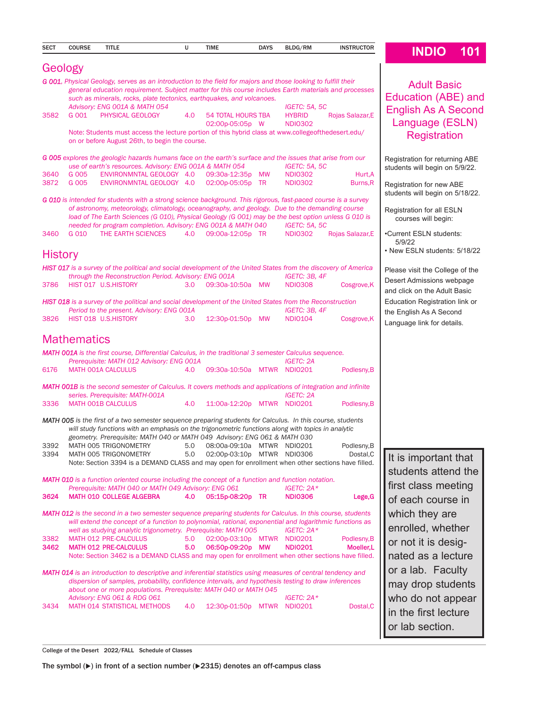| <b>SECT</b>    | <b>COURSE</b>      | <b>TITLE</b>                                                                                                                                                                                                          | U                | <b>TIME</b>                            | <b>DAYS</b> | BLDG/RM                          | <b>INSTRUCTOR</b>         | <b>INDIO</b><br>101                                         |
|----------------|--------------------|-----------------------------------------------------------------------------------------------------------------------------------------------------------------------------------------------------------------------|------------------|----------------------------------------|-------------|----------------------------------|---------------------------|-------------------------------------------------------------|
| Geology        |                    |                                                                                                                                                                                                                       |                  |                                        |             |                                  |                           |                                                             |
|                |                    |                                                                                                                                                                                                                       |                  |                                        |             |                                  |                           |                                                             |
|                |                    | G 001, Physical Geology, serves as an introduction to the field for majors and those looking to fulfill their<br>general education requirement. Subject matter for this course includes Earth materials and processes |                  |                                        |             |                                  |                           | <b>Adult Basic</b>                                          |
|                |                    | such as minerals, rocks, plate tectonics, earthquakes, and volcanoes.                                                                                                                                                 |                  |                                        |             |                                  |                           | Education (ABE) and                                         |
|                |                    | Advisory: ENG 001A & MATH 054                                                                                                                                                                                         |                  |                                        |             | IGETC: 5A, 5C                    |                           | <b>English As A Second</b>                                  |
| 3582           | G 001              | PHYSICAL GEOLOGY                                                                                                                                                                                                      | 4.0              | 54 TOTAL HOURS TBA<br>02:00p-05:05p W  |             | <b>HYBRID</b><br><b>NDI0302</b>  | Rojas Salazar, E          | Language (ESLN)                                             |
|                |                    | Note: Students must access the lecture portion of this hybrid class at www.collegeofthedesert.edu/                                                                                                                    |                  |                                        |             |                                  |                           | <b>Registration</b>                                         |
|                |                    | on or before August 26th, to begin the course.                                                                                                                                                                        |                  |                                        |             |                                  |                           |                                                             |
|                |                    | G 005 explores the geologic hazards humans face on the earth's surface and the issues that arise from our                                                                                                             |                  |                                        |             |                                  |                           | Registration for returning ABE                              |
|                |                    | use of earth's resources. Advisory: ENG 001A & MATH 054                                                                                                                                                               |                  |                                        |             | IGETC: 5A, 5C                    |                           | students will begin on 5/9/22.                              |
| 3640           | G 005              | ENVIRONMNTAL GEOLOGY 4.0                                                                                                                                                                                              |                  | 09:30a-12:35p MW                       |             | <b>NDI0302</b>                   | Hurt, A                   |                                                             |
| 3872           | G 005              | ENVIRONMNTAL GEOLOGY 4.0                                                                                                                                                                                              |                  | 02:00p-05:05p TR                       |             | <b>NDI0302</b>                   | Burns, R                  | Registration for new ABE<br>students will begin on 5/18/22. |
|                |                    | G 010 is intended for students with a strong science background. This rigorous, fast-paced course is a survey                                                                                                         |                  |                                        |             |                                  |                           |                                                             |
|                |                    | of astronomy, meteorology, climatology, oceanography, and geology. Due to the demanding course<br>load of The Earth Sciences (G 010), Physical Geology (G 001) may be the best option unless G 010 is                 |                  |                                        |             |                                  |                           | Registration for all ESLN                                   |
|                |                    | needed for program completion. Advisory: ENG 001A & MATH 040                                                                                                                                                          |                  |                                        |             | IGETC: 5A, 5C                    |                           | courses will begin:                                         |
| 3460           | G 010              | THE EARTH SCIENCES                                                                                                                                                                                                    | 4.0              | 09:00a-12:05p TR                       |             | <b>NDI0302</b>                   | Rojas Salazar, E          | •Current ESLN students:                                     |
|                |                    |                                                                                                                                                                                                                       |                  |                                        |             |                                  |                           | 5/9/22                                                      |
| <b>History</b> |                    |                                                                                                                                                                                                                       |                  |                                        |             |                                  |                           | • New ESLN students: 5/18/22                                |
|                |                    | HIST 017 is a survey of the political and social development of the United States from the discovery of America                                                                                                       |                  |                                        |             |                                  |                           | Please visit the College of the                             |
| 3786           |                    | through the Reconstruction Period. Advisory: ENG 001A<br>HIST 017 U.S.HISTORY                                                                                                                                         | 3.0              | 09:30a-10:50a MW                       |             | IGETC: 3B, 4F<br><b>NDI0308</b>  | Cosgrove, K               | Desert Admissions webpage                                   |
|                |                    |                                                                                                                                                                                                                       |                  |                                        |             |                                  |                           | and click on the Adult Basic                                |
|                |                    | HIST 018 is a survey of the political and social development of the United States from the Reconstruction                                                                                                             |                  |                                        |             |                                  |                           | Education Registration link or                              |
| 3826           |                    | Period to the present. Advisory: ENG 001A<br>HIST 018 U.S.HISTORY                                                                                                                                                     | 3.0 <sub>2</sub> | 12:30p-01:50p MW                       |             | IGETC: 3B, 4F<br><b>NDIO104</b>  |                           | the English As A Second                                     |
|                |                    |                                                                                                                                                                                                                       |                  |                                        |             |                                  | Cosgrove, K               | Language link for details.                                  |
|                | <b>Mathematics</b> |                                                                                                                                                                                                                       |                  |                                        |             |                                  |                           |                                                             |
|                |                    | <b>MATH 001A</b> is the first course, Differential Calculus, in the traditional 3 semester Calculus sequence.                                                                                                         |                  |                                        |             |                                  |                           |                                                             |
|                |                    | Prerequisite: MATH 012 Advisory: ENG 001A                                                                                                                                                                             |                  |                                        |             | <b>IGETC: 2A</b>                 |                           |                                                             |
| 6176           |                    | MATH 001A CALCULUS                                                                                                                                                                                                    | 4.0              | 09:30a-10:50a MTWR NDI0201             |             |                                  | Podlesny, B               |                                                             |
|                |                    | <b>MATH OO1B</b> is the second semester of Calculus. It covers methods and applications of integration and infinite                                                                                                   |                  |                                        |             |                                  |                           |                                                             |
|                |                    | series. Prerequisite: MATH-001A                                                                                                                                                                                       |                  |                                        |             | <b>IGETC: 2A</b>                 |                           |                                                             |
| 3336           |                    | MATH OO1B CALCULUS                                                                                                                                                                                                    | 4.0              | 11:00a-12:20p MTWR NDI0201             |             |                                  | Podlesny, B               |                                                             |
|                |                    | MATH 005 is the first of a two semester sequence preparing students for Calculus. In this course, students                                                                                                            |                  |                                        |             |                                  |                           |                                                             |
|                |                    | will study functions with an emphasis on the trigonometric functions along with topics in analytic                                                                                                                    |                  |                                        |             |                                  |                           |                                                             |
| 3392           |                    | geometry. Prerequisite: MATH 040 or MATH 049  Advisory: ENG 061 & MATH 030<br>MATH 005 TRIGONOMETRY                                                                                                                   | 5.0              | 08:00a-09:10a MTWR NDI0201             |             |                                  | Podlesny, B               |                                                             |
| 3394           |                    | MATH 005 TRIGONOMETRY                                                                                                                                                                                                 | 5.0              | 02:00p-03:10p MTWR NDI0306             |             |                                  | Dostal, C                 | It is important that                                        |
|                |                    | Note: Section 3394 is a DEMAND CLASS and may open for enrollment when other sections have filled.                                                                                                                     |                  |                                        |             |                                  |                           |                                                             |
|                |                    | <b>MATH 010</b> is a function oriented course including the concept of a function and function notation.                                                                                                              |                  |                                        |             |                                  |                           | students attend the                                         |
|                |                    | Prerequisite: MATH 040 or MATH 049 Advisory: ENG 061                                                                                                                                                                  |                  |                                        |             | IGETC: $2A*$                     |                           | first class meeting                                         |
| 3624           |                    | <b>MATH 010 COLLEGE ALGEBRA</b>                                                                                                                                                                                       | 4.0              | 05:15p-08:20p TR                       |             | <b>NDI0306</b>                   | Lege, G                   | of each course in                                           |
|                |                    | <b>MATH 012</b> is the second in a two semester sequence preparing students for Calculus. In this course, students                                                                                                    |                  |                                        |             |                                  |                           | which they are                                              |
|                |                    | will extend the concept of a function to polynomial, rational, exponential and logarithmic functions as                                                                                                               |                  |                                        |             |                                  |                           |                                                             |
|                |                    | well as studying analytic trigonometry. Prerequisite: MATH 005                                                                                                                                                        |                  |                                        |             | IGETC: $2A*$                     |                           | enrolled, whether                                           |
| 3382<br>3462   |                    | MATH 012 PRE-CALCULUS<br><b>MATH 012 PRE-CALCULUS</b>                                                                                                                                                                 | 5.0<br>5.0       | 02:00p-03:10p MTWR<br>06:50p-09:20p MW |             | <b>NDIO201</b><br><b>NDI0201</b> | Podlesny, B<br>Moeller, L | or not it is desig-                                         |
|                |                    | Note: Section 3462 is a DEMAND CLASS and may open for enrollment when other sections have filled.                                                                                                                     |                  |                                        |             |                                  |                           | nated as a lecture                                          |
|                |                    | <b>MATH 014</b> is an introduction to descriptive and inferential statistics using measures of central tendency and                                                                                                   |                  |                                        |             |                                  |                           | or a lab. Faculty                                           |
|                |                    | dispersion of samples, probability, confidence intervals, and hypothesis testing to draw inferences                                                                                                                   |                  |                                        |             |                                  |                           |                                                             |
|                |                    | about one or more populations. Prerequisite: MATH 040 or MATH 045                                                                                                                                                     |                  |                                        |             |                                  |                           | may drop students                                           |
|                |                    | Advisory: ENG 061 & RDG 061<br>MATH 014 STATISTICAL METHODS                                                                                                                                                           | 4.0              |                                        |             | IGETC: 2A*<br><b>NDIO201</b>     |                           | who do not appear                                           |
| 3434           |                    |                                                                                                                                                                                                                       |                  | 12:30p-01:50p MTWR                     |             |                                  | Dostal, C                 | in the first lecture                                        |
|                |                    |                                                                                                                                                                                                                       |                  |                                        |             |                                  |                           | or lab section.                                             |

College of the Desert 2022/FALL Schedule of Classes

The symbol  $(\blacktriangleright)$  in front of a section number  $(\blacktriangleright 2315)$  denotes an off-campus class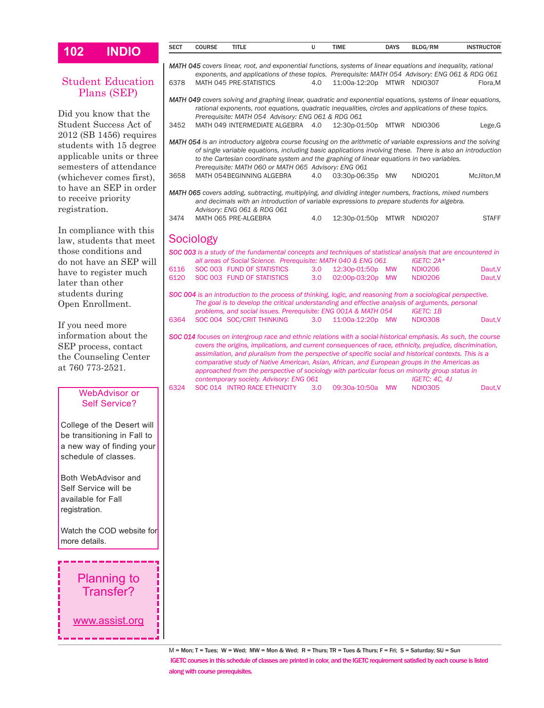| 102                                        | <b>INDIO</b>                                                                    | <b>SECT</b> | <b>COURSE</b> | TITLE                                                                                                                                                                                                                                                              | υ   | <b>TIME</b>                | <b>DAYS</b> | BLDG/RM                            | <b>INSTRUCTOR</b>                                                                                         |
|--------------------------------------------|---------------------------------------------------------------------------------|-------------|---------------|--------------------------------------------------------------------------------------------------------------------------------------------------------------------------------------------------------------------------------------------------------------------|-----|----------------------------|-------------|------------------------------------|-----------------------------------------------------------------------------------------------------------|
|                                            |                                                                                 |             |               | MATH 045 covers linear, root, and exponential functions, systems of linear equations and inequality, rational                                                                                                                                                      |     |                            |             |                                    |                                                                                                           |
|                                            |                                                                                 |             |               | exponents, and applications of these topics. Prerequisite: MATH 054 Advisory: ENG 061 & RDG 061                                                                                                                                                                    |     |                            |             |                                    |                                                                                                           |
|                                            | <b>Student Education</b>                                                        | 6378        |               | MATH 045 PRE-STATISTICS                                                                                                                                                                                                                                            | 4.0 | 11:00a-12:20p MTWR NDI0307 |             |                                    | Flora, M                                                                                                  |
|                                            | Plans (SEP)<br>Did you know that the                                            |             |               | MATH 049 covers solving and graphing linear, quadratic and exponential equations, systems of linear equations,<br>rational exponents, root equations, quadratic inequalities, circles and applications of these topics.                                            |     |                            |             |                                    |                                                                                                           |
|                                            | Student Success Act of                                                          | 3452        |               | Prerequisite: MATH 054 Advisory: ENG 061 & RDG 061<br>MATH 049 INTERMEDIATE ALGEBRA 4.0                                                                                                                                                                            |     | 12:30p-01:50p MTWR NDI0306 |             |                                    | Lege, G                                                                                                   |
|                                            | $2012$ (SB 1456) requires                                                       |             |               |                                                                                                                                                                                                                                                                    |     |                            |             |                                    |                                                                                                           |
|                                            | students with 15 degree<br>applicable units or three<br>semesters of attendance |             |               | MATH 054 is an introductory algebra course focusing on the arithmetic of variable expressions and the solving<br>to the Cartesian coordinate system and the graphing of linear equations in two variables.<br>Prerequisite: MATH 060 or MATH 065 Advisory: ENG 061 |     |                            |             |                                    | of single variable equations, including basic applications involving these. There is also an introduction |
|                                            | (whichever comes first),                                                        | 3658        |               | MATH 054 BEGINNING ALGEBRA                                                                                                                                                                                                                                         | 4.0 | 03:30p-06:35p MW           |             | NDI0201                            | McJilton, M                                                                                               |
|                                            | to have an SEP in order                                                         |             |               |                                                                                                                                                                                                                                                                    |     |                            |             |                                    |                                                                                                           |
| to receive priority                        |                                                                                 |             |               | MATH 065 covers adding, subtracting, multiplying, and dividing integer numbers, fractions, mixed numbers<br>and decimals with an introduction of variable expressions to prepare students for algebra.                                                             |     |                            |             |                                    |                                                                                                           |
| registration.                              |                                                                                 |             |               | Advisory: ENG 061 & RDG 061                                                                                                                                                                                                                                        |     |                            |             |                                    |                                                                                                           |
|                                            |                                                                                 | 3474        |               | MATH 065 PRE-ALGEBRA                                                                                                                                                                                                                                               | 4.0 | 12:30p-01:50p MTWR NDI0207 |             |                                    | <b>STAFF</b>                                                                                              |
|                                            | In compliance with this                                                         |             | Sociology     |                                                                                                                                                                                                                                                                    |     |                            |             |                                    |                                                                                                           |
|                                            | law, students that meet                                                         |             |               |                                                                                                                                                                                                                                                                    |     |                            |             |                                    |                                                                                                           |
|                                            | those conditions and<br>do not have an SEP will                                 |             |               | SOC 003 is a study of the fundamental concepts and techniques of statistical analysis that are encountered in<br>all areas of Social Science. Prerequisite: MATH 040 & ENG 061                                                                                     |     |                            |             | IGETC: $2A*$                       |                                                                                                           |
|                                            | have to register much                                                           | 6116        |               | SOC 003 FUND OF STATISTICS                                                                                                                                                                                                                                         | 3.0 | 12:30p-01:50p MW           |             | <b>NDI0206</b>                     | Daut, V                                                                                                   |
| later than other                           |                                                                                 | 6120        |               | SOC 003 FUND OF STATISTICS                                                                                                                                                                                                                                         | 3.0 | 02:00p-03:20p              | MW          | <b>NDI0206</b>                     | Daut, V                                                                                                   |
| students during                            |                                                                                 |             |               | SOC 004 is an introduction to the process of thinking, logic, and reasoning from a sociological perspective.                                                                                                                                                       |     |                            |             |                                    |                                                                                                           |
| Open Enrollment.                           |                                                                                 |             |               | The goal is to develop the critical understanding and effective analysis of arguments, personal                                                                                                                                                                    |     |                            |             |                                    |                                                                                                           |
|                                            |                                                                                 | 6364        |               | problems, and social issues. Prerequisite: ENG 001A & MATH 054<br>SOC 004 SOC/CRIT THINKING                                                                                                                                                                        | 3.0 | 11:00a-12:20p MW           |             | <b>IGETC: 1B</b><br><b>NDI0308</b> | Daut, V                                                                                                   |
| If you need more                           |                                                                                 |             |               |                                                                                                                                                                                                                                                                    |     |                            |             |                                    |                                                                                                           |
|                                            | information about the                                                           |             |               | SOC 014 focuses on intergroup race and ethnic relations with a social-historical emphasis. As such, the course<br>covers the origins, implications, and current consequences of race, ethnicity, prejudice, discrimination,                                        |     |                            |             |                                    |                                                                                                           |
|                                            | SEP process, contact                                                            |             |               | assimilation, and pluralism from the perspective of specific social and historical contexts. This is a                                                                                                                                                             |     |                            |             |                                    |                                                                                                           |
| at 760 773-2521.                           | the Counseling Center                                                           |             |               | comparative study of Native American, Asian, African, and European groups in the Americas as                                                                                                                                                                       |     |                            |             |                                    |                                                                                                           |
|                                            |                                                                                 |             |               | approached from the perspective of sociology with particular focus on minority group status in<br>contemporary society. Advisory: ENG 061                                                                                                                          |     |                            |             | <b>IGETC: 4C, 4J</b>               |                                                                                                           |
|                                            |                                                                                 | 6324        |               | SOC 014 INTRO RACE ETHNICITY                                                                                                                                                                                                                                       | 3.0 | 09:30a-10:50a MW           |             | <b>NDI0305</b>                     | Daut, V                                                                                                   |
|                                            | <b>WebAdvisor or</b><br><b>Self Service?</b>                                    |             |               |                                                                                                                                                                                                                                                                    |     |                            |             |                                    |                                                                                                           |
|                                            |                                                                                 |             |               |                                                                                                                                                                                                                                                                    |     |                            |             |                                    |                                                                                                           |
|                                            | College of the Desert will                                                      |             |               |                                                                                                                                                                                                                                                                    |     |                            |             |                                    |                                                                                                           |
|                                            | be transitioning in Fall to                                                     |             |               |                                                                                                                                                                                                                                                                    |     |                            |             |                                    |                                                                                                           |
|                                            | a new way of finding your                                                       |             |               |                                                                                                                                                                                                                                                                    |     |                            |             |                                    |                                                                                                           |
|                                            | schedule of classes.                                                            |             |               |                                                                                                                                                                                                                                                                    |     |                            |             |                                    |                                                                                                           |
|                                            |                                                                                 |             |               |                                                                                                                                                                                                                                                                    |     |                            |             |                                    |                                                                                                           |
|                                            | Both WebAdvisor and                                                             |             |               |                                                                                                                                                                                                                                                                    |     |                            |             |                                    |                                                                                                           |
| Self Service will be<br>available for Fall |                                                                                 |             |               |                                                                                                                                                                                                                                                                    |     |                            |             |                                    |                                                                                                           |
| registration.                              |                                                                                 |             |               |                                                                                                                                                                                                                                                                    |     |                            |             |                                    |                                                                                                           |
|                                            |                                                                                 |             |               |                                                                                                                                                                                                                                                                    |     |                            |             |                                    |                                                                                                           |
|                                            | Watch the COD website for                                                       |             |               |                                                                                                                                                                                                                                                                    |     |                            |             |                                    |                                                                                                           |
| more details.                              |                                                                                 |             |               |                                                                                                                                                                                                                                                                    |     |                            |             |                                    |                                                                                                           |
|                                            |                                                                                 |             |               |                                                                                                                                                                                                                                                                    |     |                            |             |                                    |                                                                                                           |
|                                            |                                                                                 |             |               |                                                                                                                                                                                                                                                                    |     |                            |             |                                    |                                                                                                           |
|                                            | <b>Planning to</b>                                                              |             |               |                                                                                                                                                                                                                                                                    |     |                            |             |                                    |                                                                                                           |
|                                            | Transfer?                                                                       |             |               |                                                                                                                                                                                                                                                                    |     |                            |             |                                    |                                                                                                           |
|                                            |                                                                                 |             |               |                                                                                                                                                                                                                                                                    |     |                            |             |                                    |                                                                                                           |
|                                            |                                                                                 |             |               |                                                                                                                                                                                                                                                                    |     |                            |             |                                    |                                                                                                           |
|                                            | www.assist.org                                                                  |             |               |                                                                                                                                                                                                                                                                    |     |                            |             |                                    |                                                                                                           |
|                                            |                                                                                 |             |               |                                                                                                                                                                                                                                                                    |     |                            |             |                                    |                                                                                                           |
|                                            |                                                                                 |             |               |                                                                                                                                                                                                                                                                    |     |                            |             |                                    |                                                                                                           |

M = Mon; T = Tues; W = Wed; MW = Mon & Wed; R = Thurs; TR = Tues & Thurs; F = Fri; S = Saturday; SU = Sun IGETC courses in this schedule of classes are printed in color, and the IGETC requirement satisfied by each course is listed along with course prerequisites.